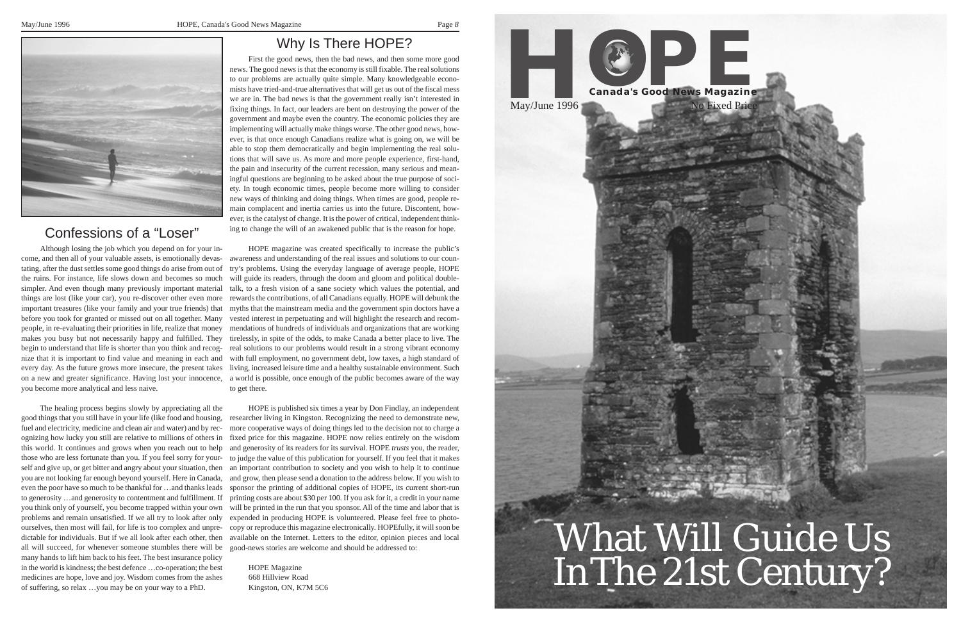*8*



## Why Is There HOPE?

First the good news, then the bad news, and then some more good news. The good news is that the economy is still fixable. The real solutions to our problems are actually quite simple. Many knowledgeable economists have tried-and-true alternatives that will get us out of the fiscal mess we are in. The bad news is that the government really isn't interested in fixing things. In fact, our leaders are bent on destroying the power of the government and maybe even the country. The economic policies they are implementing will actually make things worse. The other good news, however, is that once enough Canadians realize what is going on, we will be able to stop them democratically and begin implementing the real solutions that will save us. As more and more people experience, first-hand, the pain and insecurity of the current recession, many serious and meaningful questions are beginning to be asked about the true purpose of society. In tough economic times, people become more willing to consider new ways of thinking and doing things. When times are good, people remain complacent and inertia carries us into the future. Discontent, however, is the catalyst of change. It is the power of critical, independent thinking to change the will of an awakened public that is the reason for hope.

HOPE magazine was created specifically to increase the public's awareness and understanding of the real issues and solutions to our country's problems. Using the everyday language of average people, HOPE will guide its readers, through the doom and gloom and political doubletalk, to a fresh vision of a sane society which values the potential, and rewards the contributions, of all Canadians equally. HOPE will debunk the myths that the mainstream media and the government spin doctors have a before you took for granted or missed out on all together. Many vested interest in perpetuating and will highlight the research and recompeople, in re-evaluating their priorities in life, realize that money mendations of hundreds of individuals and organizations that are working tirelessly, in spite of the odds, to make Canada a better place to live. The real solutions to our problems would result in a strong vibrant economy with full employment, no government debt, low taxes, a high standard of every day. As the future grows more insecure, the present takes living, increased leisure time and a healthy sustainable environment. Such on a new and greater significance. Having lost your innocence, a world is possible, once enough of the public becomes aware of the way to get there.

HOPE is published six times a year by Don Findlay, an independent good things that you still have in your life (like food and housing, researcher living in Kingston. Recognizing the need to demonstrate new, fuel and electricity, medicine and clean air and water) and by rec- more cooperative ways of doing things led to the decision not to charge a fixed price for this magazine. HOPE now relies entirely on the wisdom and generosity of its readers for its survival. HOPE *trusts* you, the reader, those who are less fortunate than you. If you feel sorry for your- to judge the value of this publication for yourself. If you feel that it makes an important contribution to society and you wish to help it to continue and grow, then please send a donation to the address below. If you wish to sponsor the printing of additional copies of HOPE, its current short-run to generosity ...and generosity to contentment and fulfillment. If printing costs are about \$30 per 100. If you ask for it, a credit in your name you think only of yourself, you become trapped within your own will be printed in the run that you sponsor. All of the time and labor that is problems and remain unsatisfied. If we all try to look after only expended in producing HOPE is volunteered. Please feel free to photoourselves, then most will fail, for life is too complex and unpre- copy or reproduce this magazine electronically. HOPEfully, it will soon be available on the Internet. Letters to the editor, opinion pieces and local

all will succeed, for whenever someone stumbles there will be good-news stories are welcome and should be addressed to: The healing process begins slowly by appreciating all the ognizing how lucky you still are relative to millions of others in this world. It continues and grows when you reach out to help self and give up, or get bitter and angry about your situation, then you are not looking far enough beyond yourself. Here in Canada, even the poor have so much to be thankful for …and thanks leads dictable for individuals. But if we all look after each other, then many hands to lift him back to his feet. The best insurance policy in the world is kindness; the best defence …co-operation; the best medicines are hope, love and joy. Wisdom comes from the ashes of suffering, so relax …you may be on your way to a PhD.

HOPE Magazine 668 Hillview Road Kingston, ON, K7M 5C6



## Confessions of a "Loser"

Although losing the job which you depend on for your income, and then all of your valuable assets, is emotionally devastating, after the dust settles some good things do arise from out of the ruins. For instance, life slows down and becomes so much simpler. And even though many previously important material things are lost (like your car), you re-discover other even more important treasures (like your family and your true friends) that makes you busy but not necessarily happy and fulfilled. They begin to understand that life is shorter than you think and recognize that it is important to find value and meaning in each and you become more analytical and less naive.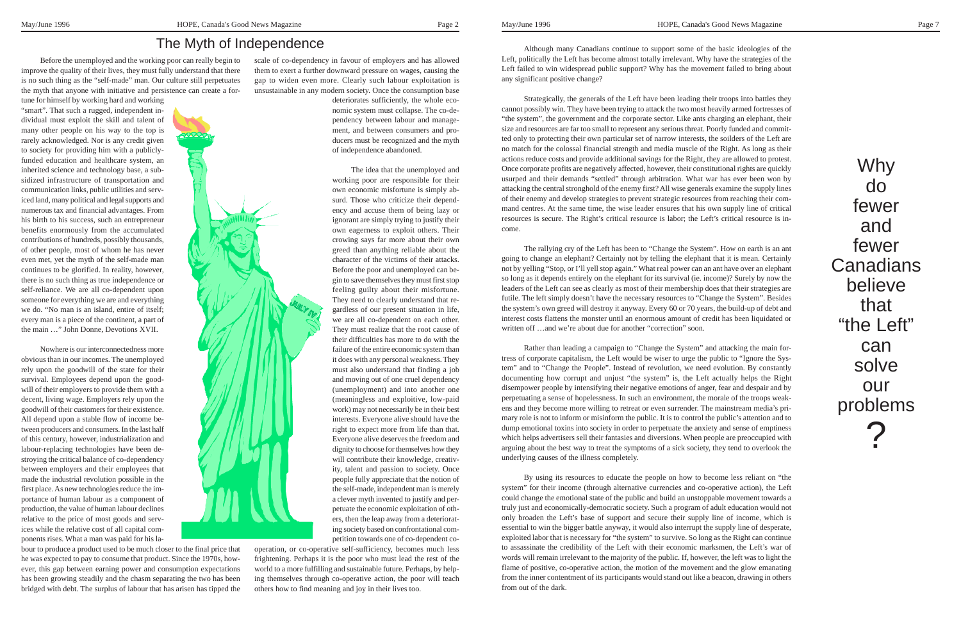Why do fewer and fewer **Canadians** believe that "the Left" can solve our problems ?

Before the unemployed and the working poor can really begin to improve the quality of their lives, they must fully understand that there is no such thing as the "self-made" man. Our culture still perpetuates the myth that anyone with initiative and persistence can create a for-

tune for himself by working hard and working "smart". That such a rugged, independent individual must exploit the skill and talent of many other people on his way to the top is rarely acknowledged. Nor is any credit given to society for providing him with a publiclyfunded education and healthcare system, an inherited science and technology base, a subsidized infrastructure of transportation and communication links, public utilities and serviced land, many political and legal supports and numerous tax and financial advantages. From his birth to his success, such an entrepreneur benefits enormously from the accumulated contributions of hundreds, possibly thousands, of other people, most of whom he has never even met, yet the myth of the self-made man continues to be glorified. In reality, however, there is no such thing as true independence or self-reliance. We are all co-dependent upon someone for everything we are and everything we do. "No man is an island, entire of itself; every man is a piece of the continent, a part of the main …" John Donne, Devotions XVII.

Nowhere is our interconnectedness more obvious than in our incomes. The unemployed rely upon the goodwill of the state for their survival. Employees depend upon the goodwill of their employers to provide them with a decent, living wage. Employers rely upon the goodwill of their customers for their existence. All depend upon a stable flow of income between producers and consumers. In the last half of this century, however, industrialization and labour-replacing technologies have been destroying the critical balance of co-dependency between employers and their employees that made the industrial revolution possible in the first place. As new technologies reduce the importance of human labour as a component of production, the value of human labour declines relative to the price of most goods and services while the relative cost of all capital components rises. What a man was paid for his la-

bour to produce a product used to be much closer to the final price that he was expected to pay to consume that product. Since the 1970s, however, this gap between earning power and consumption expectations has been growing steadily and the chasm separating the two has been bridged with debt. The surplus of labour that has arisen has tipped the

Although many Canadians continue to support some of the basic ideologies of the Left, politically the Left has become almost totally irrelevant. Why have the strategies of the Left failed to win widespread public support? Why has the movement failed to bring about any significant positive change?

Strategically, the generals of the Left have been leading their troops into battles they cannot possibly win. They have been trying to attack the two most heavily armed fortresses of "the system", the government and the corporate sector. Like ants charging an elephant, their size and resources are far too small to represent any serious threat. Poorly funded and committed only to protecting their own particular set of narrow interests, the soilders of the Left are no match for the colossal financial strength and media muscle of the Right. As long as their actions reduce costs and provide additional savings for the Right, they are allowed to protest. Once corporate profits are negatively affected, however, their constitutional rights are quickly usurped and their demands "settled" through arbitration. What war has ever been won by attacking the central stronghold of the enemy first? All wise generals examine the supply lines of their enemy and develop strategies to prevent strategic resources from reaching their command centres. At the same time, the wise leader ensures that his own supply line of critical resources is secure. The Right's critical resource is labor; the Left's critical resource is income.

crowing says far more about their own<br>greed than anything reliable about the character of the victims of their attacks. The idea that the unemployed and working poor are responsible for their own economic misfortune is simply absurd. Those who criticize their dependency and accuse them of being lazy or ignorant are simply trying to justify their own eagerness to exploit others. Their greed than anything reliable about the Before the poor and unemployed can begin to save themselves they must first stop feeling guilty about their misfortune. They need to clearly understand that regardless of our present situation in life, we are all co-dependent on each other. They must realize that the root cause of their difficulties has more to do with the failure of the entire economic system than it does with any personal weakness. They must also understand that finding a job and moving out of one cruel dependency (unemployment) and into another one (meaningless and exploitive, low-paid work) may not necessarily be in their best interests. Everyone alive should have the right to expect more from life than that. Everyone alive deserves the freedom and dignity to choose for themselves how they will contribute their knowledge, creativity, talent and passion to society. Once people fully appreciate that the notion of the self-made, independent man is merely a clever myth invented to justify and perpetuate the economic exploitation of others, then the leap away from a deteriorating society based on confrontational competition towards one of co-dependent co-

The rallying cry of the Left has been to "Change the System". How on earth is an ant going to change an elephant? Certainly not by telling the elephant that it is mean. Certainly not by yelling "Stop, or I'll yell stop again." What real power can an ant have over an elephant so long as it depends entirely on the elephant for its survival (ie. income)? Surely by now the leaders of the Left can see as clearly as most of their membership does that their strategies are futile. The left simply doesn't have the necessary resources to "Change the System". Besides the system's own greed will destroy it anyway. Every 60 or 70 years, the build-up of debt and interest costs flattens the monster until an enormous amount of credit has been liquidated or written off …and we're about due for another "correction" soon.

Rather than leading a campaign to "Change the System" and attacking the main fortress of corporate capitalism, the Left would be wiser to urge the public to "Ignore the System" and to "Change the People". Instead of revolution, we need evolution. By constantly documenting how corrupt and unjust "the system" is, the Left actually helps the Right disempower people by intensifying their negative emotions of anger, fear and despair and by perpetuating a sense of hopelessness. In such an environment, the morale of the troops weakens and they become more willing to retreat or even surrender. The mainstream media's primary role is not to inform or misinform the public. It is to control the public's attention and to dump emotional toxins into society in order to perpetuate the anxiety and sense of emptiness which helps advertisers sell their fantasies and diversions. When people are preoccupied with arguing about the best way to treat the symptoms of a sick society, they tend to overlook the underlying causes of the illness completely.

By using its resources to educate the people on how to become less reliant on "the system" for their income (through alternative currencies and co-operative action), the Left could change the emotional state of the public and build an unstoppable movement towards a truly just and economically-democratic society. Such a program of adult education would not only broaden the Left's base of support and secure their supply line of income, which is essential to win the bigger battle anyway, it would also interrupt the supply line of desperate, exploited labor that is necessary for "the system" to survive. So long as the Right can continue to assassinate the credibility of the Left with their economic marksmen, the Left's war of words will remain irrelevant to the majority of the public. If, however, the left was to light the flame of positive, co-operative action, the motion of the movement and the glow emanating from the inner contentment of its participants would stand out like a beacon, drawing in others from out of the dark.



scale of co-dependency in favour of employers and has allowed them to exert a further downward pressure on wages, causing the gap to widen even more. Clearly such labour exploitation is unsustainable in any modern society. Once the consumption base

deteriorates sufficiently, the whole economic system must collapse. The co-dependency between labour and management, and between consumers and producers must be recognized and the myth of independence abandoned.

operation, or co-operative self-sufficiency, becomes much less frightening. Perhaps it is the poor who must lead the rest of the world to a more fulfilling and sustainable future. Perhaps, by helping themselves through co-operative action, the poor will teach others how to find meaning and joy in their lives too.

## The Myth of Independence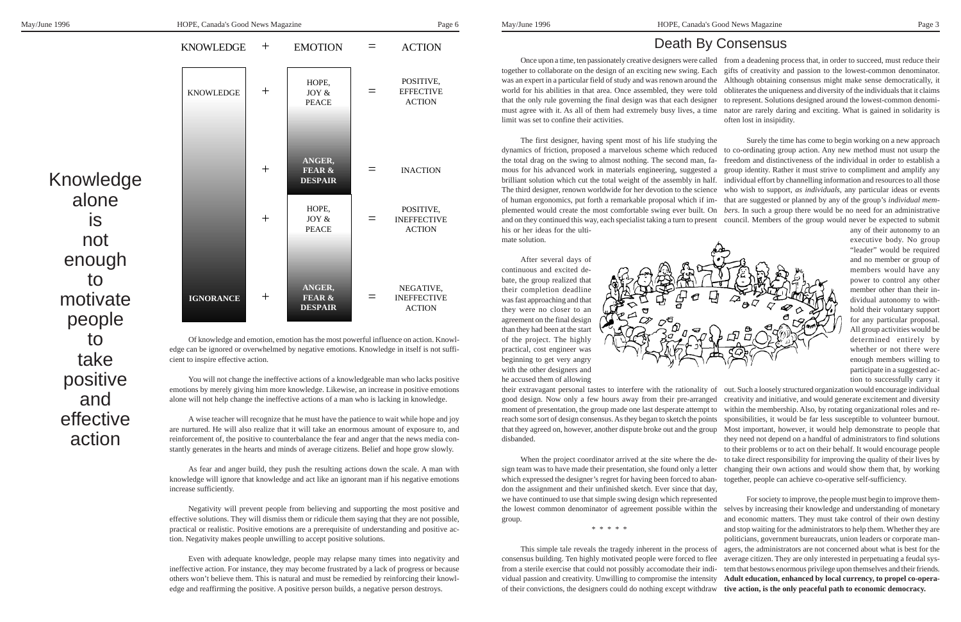Knowledge alone is not enough to motivate people to take positive and effective action

### Death By Consensus

executive body. No group "leader" would be required and no member or group of members would have any power to control any other member other than their individual autonomy to withhold their voluntary support for any particular proposal. All group activities would be determined entirely by whether or not there were enough members willing to participate in a suggested action to successfully carry it

Once upon a time, ten passionately creative designers were called from a deadening process that, in order to succeed, must reduce their together to collaborate on the design of an exciting new swing. Each gifts of creativity and passion to the lowest-common denominator. was an expert in a particular field of study and was renown around the Although obtaining consensus might make sense democratically, it obliterates the uniqueness and diversity of the individuals that it claims that the only rule governing the final design was that each designer to represent. Solutions designed around the lowest-common denomimust agree with it. As all of them had extremely busy lives, a time nator are rarely daring and exciting. What is gained in solidarity is often lost in insipidity. world for his abilities in that area. Once assembled, they were told limit was set to confine their activities.

cient to inspire effective action.

Surely the time has come to begin working on a new approach to co-ordinating group action. Any new method must not usurp the freedom and distinctiveness of the individual in order to establish a group identity. Rather it must strive to compliment and amplify any individual effort by channelling information and resources to all those who wish to support, *as individuals,* any particular ideas or events that are suggested or planned by any of the group's *individual members*. In such a group there would be no need for an administrative and on they continued this way, each specialist taking a turn to present council. Members of the group would never be expected to submit any of their autonomy to an The first designer, having spent most of his life studying the dynamics of friction, proposed a marvelous scheme which reduced the total drag on the swing to almost nothing. The second man, famous for his advanced work in materials engineering, suggested a brilliant solution which cut the total weight of the assembly in half. The third designer, renown worldwide for her devotion to the science of human ergonomics, put forth a remarkable proposal which if implemented would create the most comfortable swing ever built. On his or her ideas for the ultimate solution.

You will not change the ineffective actions of a knowledgeable man who lacks positive emotions by merely giving him more knowledge. Likewise, an increase in positive emotions alone will not help change the ineffective actions of a man who is lacking in knowledge.

A wise teacher will recognize that he must have the patience to wait while hope and joy are nurtured. He will also realize that it will take an enormous amount of exposure to, and reinforcement of, the positive to counterbalance the fear and anger that the news media constantly generates in the hearts and minds of average citizens. Belief and hope grow slowly.

As fear and anger build, they push the resulting actions down the scale. A man with knowledge will ignore that knowledge and act like an ignorant man if his negative emotions increase sufficiently.

out. Such a loosely structured organization would encourage individual creativity and initiative, and would generate excitement and diversity within the membership. Also, by rotating organizational roles and responsibilities, it would be far less susceptible to volunteer burnout. that they agreed on, however, another dispute broke out and the group Most important, however, it would help demonstrate to people that they need not depend on a handful of administrators to find solutions to their problems or to act on their behalf. It would encourage people to take direct responsibility for improving the quality of their lives by sign team was to have made their presentation, she found only a letter changing their own actions and would show them that, by working together, people can achieve co-operative self-sufficiency. their extravagant personal tastes to interfere with the rationality of good design. Now only a few hours away from their pre-arranged moment of presentation, the group made one last desperate attempt to reach some sort of design consensus. As they began to sketch the points disbanded. When the project coordinator arrived at the site where the dewhich expressed the designer's regret for having been forced to aban-

Negativity will prevent people from believing and supporting the most positive and effective solutions. They will dismiss them or ridicule them saying that they are not possible, practical or realistic. Positive emotions are a prerequisite of understanding and positive action. Negativity makes people unwilling to accept positive solutions.

Even with adequate knowledge, people may relapse many times into negativity and ineffective action. For instance, they may become frustrated by a lack of progress or because others won't believe them. This is natural and must be remedied by reinforcing their knowledge and reaffirming the positive. A positive person builds, a negative person destroys.

For society to improve, the people must begin to improve themthe lowest common denominator of agreement possible within the selves by increasing their knowledge and understanding of monetary and economic matters. They must take control of their own destiny and stop waiting for the administrators to help them. Whether they are politicians, government bureaucrats, union leaders or corporate managers, the administrators are not concerned about what is best for the average citizen. They are only interested in perpetuating a feudal system that bestows enormous privilege upon themselves and their friends. **Adult education, enhanced by local currency, to propel co-opera**of their convictions, the designers could do nothing except withdraw **tive action, is the only peaceful path to economic democracy.** we have continued to use that simple swing design which represented group. \* \* \* \* \* This simple tale reveals the tragedy inherent in the process of consensus building. Ten highly motivated people were forced to flee from a sterile exercise that could not possibly accomodate their individual passion and creativity. Unwilling to compromise the intensity



After several days of continuous and excited debate, the group realized that their completion deadline was fast approaching and that they were no closer to an agreement on the final design than they had been at the start of the project. The highly practical, cost engineer was beginning to get very angry with the other designers and he accused them of allowing



don the assignment and their unfinished sketch. Ever since that day,

**ANGER, FEAR & DESPAIR**

HOPE, JOY & PEACE KNOWLEDGE KNOWLEDGE + EMOTION +

 $+$ 

+

=

=

ACTION

POSITIVE, EFFECTIVE ACTION

INACTION

POSITIVE, INEFFECTIVE ACTION

 $=$ 

HOPE, JOY & PEACE  $=$